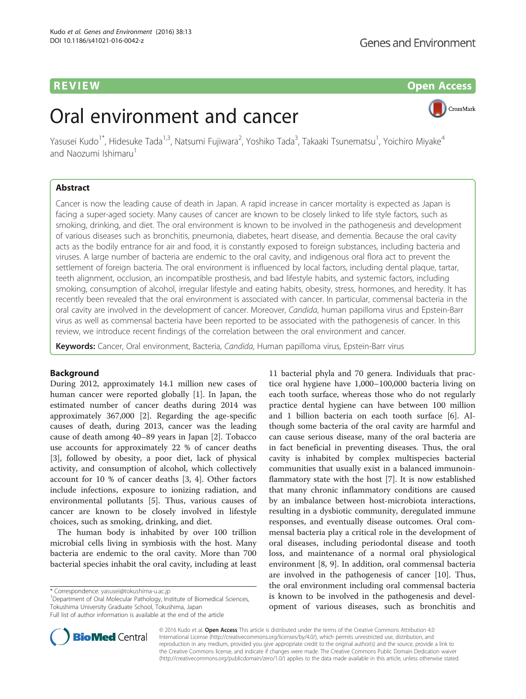# **REVIEW ACCESS AND LOCAL CONTRACT CONTRACT OF ACCESS**

CrossMark

# Oral environment and cancer

Yasusei Kudo<sup>1\*</sup>, Hidesuke Tada<sup>1,3</sup>, Natsumi Fujiwara<sup>2</sup>, Yoshiko Tada<sup>3</sup>, Takaaki Tsunematsu<sup>1</sup>, Yoichiro Miyake<sup>4</sup> and Naozumi Ishimaru<sup>1</sup>

# Abstract

Cancer is now the leading cause of death in Japan. A rapid increase in cancer mortality is expected as Japan is facing a super-aged society. Many causes of cancer are known to be closely linked to life style factors, such as smoking, drinking, and diet. The oral environment is known to be involved in the pathogenesis and development of various diseases such as bronchitis, pneumonia, diabetes, heart disease, and dementia. Because the oral cavity acts as the bodily entrance for air and food, it is constantly exposed to foreign substances, including bacteria and viruses. A large number of bacteria are endemic to the oral cavity, and indigenous oral flora act to prevent the settlement of foreign bacteria. The oral environment is influenced by local factors, including dental plaque, tartar, teeth alignment, occlusion, an incompatible prosthesis, and bad lifestyle habits, and systemic factors, including smoking, consumption of alcohol, irregular lifestyle and eating habits, obesity, stress, hormones, and heredity. It has recently been revealed that the oral environment is associated with cancer. In particular, commensal bacteria in the oral cavity are involved in the development of cancer. Moreover, Candida, human papilloma virus and Epstein-Barr virus as well as commensal bacteria have been reported to be associated with the pathogenesis of cancer. In this review, we introduce recent findings of the correlation between the oral environment and cancer.

Keywords: Cancer, Oral environment, Bacteria, Candida, Human papilloma virus, Epstein-Barr virus

# Background

During 2012, approximately 14.1 million new cases of human cancer were reported globally [[1\]](#page-3-0). In Japan, the estimated number of cancer deaths during 2014 was approximately 367,000 [\[2](#page-3-0)]. Regarding the age-specific causes of death, during 2013, cancer was the leading cause of death among 40–89 years in Japan [\[2\]](#page-3-0). Tobacco use accounts for approximately 22 % of cancer deaths [[3\]](#page-3-0), followed by obesity, a poor diet, lack of physical activity, and consumption of alcohol, which collectively account for 10 % of cancer deaths [[3](#page-3-0), [4\]](#page-3-0). Other factors include infections, exposure to ionizing radiation, and environmental pollutants [\[5](#page-3-0)]. Thus, various causes of cancer are known to be closely involved in lifestyle choices, such as smoking, drinking, and diet.

The human body is inhabited by over 100 trillion microbial cells living in symbiosis with the host. Many bacteria are endemic to the oral cavity. More than 700 bacterial species inhabit the oral cavity, including at least

<sup>1</sup>Department of Oral Molecular Pathology, Institute of Biomedical Sciences, Tokushima University Graduate School, Tokushima, Japan Full list of author information is available at the end of the article

**BioMed Central** 

11 bacterial phyla and 70 genera. Individuals that practice oral hygiene have 1,000–100,000 bacteria living on each tooth surface, whereas those who do not regularly practice dental hygiene can have between 100 million and 1 billion bacteria on each tooth surface [[6\]](#page-3-0). Although some bacteria of the oral cavity are harmful and can cause serious disease, many of the oral bacteria are in fact beneficial in preventing diseases. Thus, the oral cavity is inhabited by complex multispecies bacterial communities that usually exist in a balanced immunoinflammatory state with the host [\[7](#page-4-0)]. It is now established that many chronic inflammatory conditions are caused by an imbalance between host-microbiota interactions, resulting in a dysbiotic community, deregulated immune responses, and eventually disease outcomes. Oral commensal bacteria play a critical role in the development of oral diseases, including periodontal disease and tooth loss, and maintenance of a normal oral physiological environment [\[8](#page-4-0), [9](#page-4-0)]. In addition, oral commensal bacteria are involved in the pathogenesis of cancer [\[10](#page-4-0)]. Thus, the oral environment including oral commensal bacteria is known to be involved in the pathogenesis and development of various diseases, such as bronchitis and

© 2016 Kudo et al. Open Access This article is distributed under the terms of the Creative Commons Attribution 4.0 International License [\(http://creativecommons.org/licenses/by/4.0/](http://creativecommons.org/licenses/by/4.0/)), which permits unrestricted use, distribution, and reproduction in any medium, provided you give appropriate credit to the original author(s) and the source, provide a link to the Creative Commons license, and indicate if changes were made. The Creative Commons Public Domain Dedication waiver [\(http://creativecommons.org/publicdomain/zero/1.0/](http://creativecommons.org/publicdomain/zero/1.0/)) applies to the data made available in this article, unless otherwise stated.

<sup>\*</sup> Correspondence: [yasusei@tokushima-u.ac.jp](mailto:yasusei@tokushima-u.ac.jp) <sup>1</sup>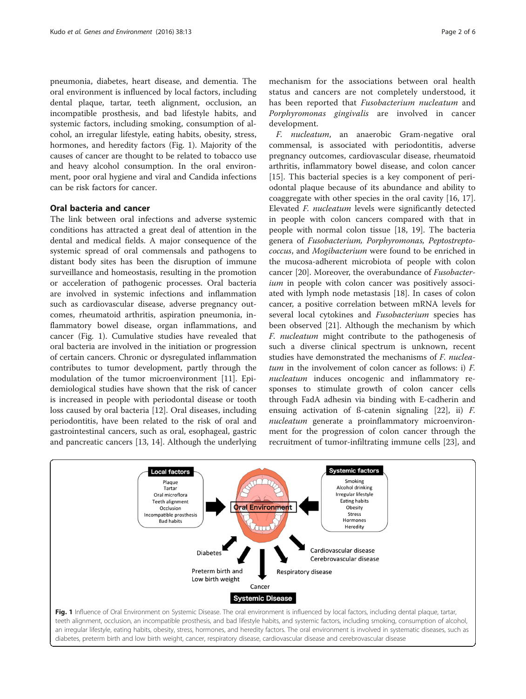pneumonia, diabetes, heart disease, and dementia. The oral environment is influenced by local factors, including dental plaque, tartar, teeth alignment, occlusion, an incompatible prosthesis, and bad lifestyle habits, and systemic factors, including smoking, consumption of alcohol, an irregular lifestyle, eating habits, obesity, stress, hormones, and heredity factors (Fig. 1). Majority of the causes of cancer are thought to be related to tobacco use and heavy alcohol consumption. In the oral environment, poor oral hygiene and viral and Candida infections can be risk factors for cancer.

# Oral bacteria and cancer

The link between oral infections and adverse systemic conditions has attracted a great deal of attention in the dental and medical fields. A major consequence of the systemic spread of oral commensals and pathogens to distant body sites has been the disruption of immune surveillance and homeostasis, resulting in the promotion or acceleration of pathogenic processes. Oral bacteria are involved in systemic infections and inflammation such as cardiovascular disease, adverse pregnancy outcomes, rheumatoid arthritis, aspiration pneumonia, inflammatory bowel disease, organ inflammations, and cancer (Fig. 1). Cumulative studies have revealed that oral bacteria are involved in the initiation or progression of certain cancers. Chronic or dysregulated inflammation contributes to tumor development, partly through the modulation of the tumor microenvironment [[11\]](#page-4-0). Epidemiological studies have shown that the risk of cancer is increased in people with periodontal disease or tooth loss caused by oral bacteria [\[12\]](#page-4-0). Oral diseases, including periodontitis, have been related to the risk of oral and gastrointestinal cancers, such as oral, esophageal, gastric and pancreatic cancers [\[13](#page-4-0), [14](#page-4-0)]. Although the underlying

mechanism for the associations between oral health status and cancers are not completely understood, it has been reported that Fusobacterium nucleatum and Porphyromonas gingivalis are involved in cancer development.

F. nucleatum, an anaerobic Gram-negative oral commensal, is associated with periodontitis, adverse pregnancy outcomes, cardiovascular disease, rheumatoid arthritis, inflammatory bowel disease, and colon cancer [[15\]](#page-4-0). This bacterial species is a key component of periodontal plaque because of its abundance and ability to coaggregate with other species in the oral cavity [\[16](#page-4-0), [17](#page-4-0)]. Elevated F. nucleatum levels were significantly detected in people with colon cancers compared with that in people with normal colon tissue [[18, 19](#page-4-0)]. The bacteria genera of Fusobacterium, Porphyromonas, Peptostreptococcus, and Mogibacterium were found to be enriched in the mucosa-adherent microbiota of people with colon cancer [\[20](#page-4-0)]. Moreover, the overabundance of Fusobacterium in people with colon cancer was positively associated with lymph node metastasis [[18\]](#page-4-0). In cases of colon cancer, a positive correlation between mRNA levels for several local cytokines and *Fusobacterium* species has been observed [[21](#page-4-0)]. Although the mechanism by which F. nucleatum might contribute to the pathogenesis of such a diverse clinical spectrum is unknown, recent studies have demonstrated the mechanisms of *F. nuclea* $tum$  in the involvement of colon cancer as follows: i)  $F$ . nucleatum induces oncogenic and inflammatory responses to stimulate growth of colon cancer cells through FadA adhesin via binding with E-cadherin and ensuing activation of  $\beta$ -catenin signaling [[22\]](#page-4-0), ii) F. nucleatum generate a proinflammatory microenvironment for the progression of colon cancer through the recruitment of tumor-infiltrating immune cells [[23\]](#page-4-0), and



teeth alignment, occlusion, an incompatible prosthesis, and bad lifestyle habits, and systemic factors, including smoking, consumption of alcohol, an irregular lifestyle, eating habits, obesity, stress, hormones, and heredity factors. The oral environment is involved in systematic diseases, such as diabetes, preterm birth and low birth weight, cancer, respiratory disease, cardiovascular disease and cerebrovascular disease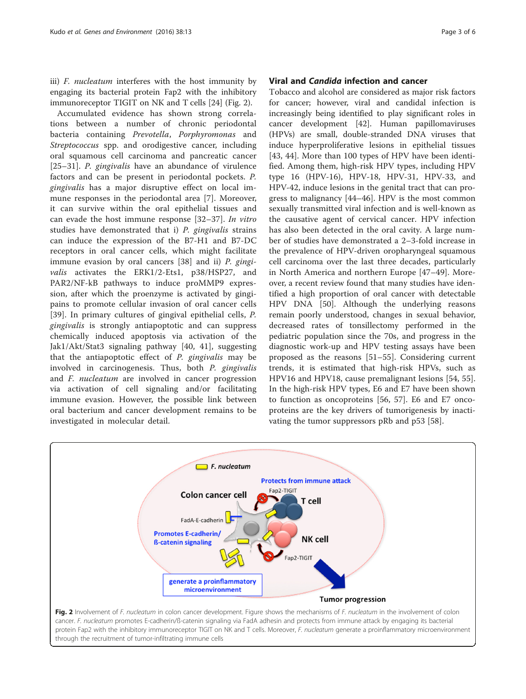iii) F. nucleatum interferes with the host immunity by engaging its bacterial protein Fap2 with the inhibitory immunoreceptor TIGIT on NK and T cells [\[24\]](#page-4-0) (Fig. 2).

Accumulated evidence has shown strong correlations between a number of chronic periodontal bacteria containing Prevotella, Porphyromonas and Streptococcus spp. and orodigestive cancer, including oral squamous cell carcinoma and pancreatic cancer [[25](#page-4-0)–[31\]](#page-4-0). P. gingivalis have an abundance of virulence factors and can be present in periodontal pockets. P. gingivalis has a major disruptive effect on local immune responses in the periodontal area [[7](#page-4-0)]. Moreover, it can survive within the oral epithelial tissues and can evade the host immune response [\[32](#page-4-0)–[37](#page-4-0)]. In vitro studies have demonstrated that i) P. gingivalis strains can induce the expression of the B7-H1 and B7-DC receptors in oral cancer cells, which might facilitate immune evasion by oral cancers [[38\]](#page-4-0) and ii) P. gingivalis activates the ERK1/2-Ets1, p38/HSP27, and PAR2/NF-kB pathways to induce proMMP9 expression, after which the proenzyme is activated by gingipains to promote cellular invasion of oral cancer cells [[39\]](#page-4-0). In primary cultures of gingival epithelial cells, P. gingivalis is strongly antiapoptotic and can suppress chemically induced apoptosis via activation of the Jak1/Akt/Stat3 signaling pathway [[40, 41](#page-4-0)], suggesting that the antiapoptotic effect of  $P$ . gingivalis may be involved in carcinogenesis. Thus, both P. gingivalis and F. nucleatum are involved in cancer progression via activation of cell signaling and/or facilitating immune evasion. However, the possible link between oral bacterium and cancer development remains to be investigated in molecular detail.

# Viral and Candida infection and cancer

Tobacco and alcohol are considered as major risk factors for cancer; however, viral and candidal infection is increasingly being identified to play significant roles in cancer development [[42\]](#page-4-0). Human papillomaviruses (HPVs) are small, double-stranded DNA viruses that induce hyperproliferative lesions in epithelial tissues [[43, 44](#page-4-0)]. More than 100 types of HPV have been identified. Among them, high-risk HPV types, including HPV type 16 (HPV-16), HPV-18, HPV-31, HPV-33, and HPV-42, induce lesions in the genital tract that can progress to malignancy [[44](#page-4-0)–[46\]](#page-4-0). HPV is the most common sexually transmitted viral infection and is well-known as the causative agent of cervical cancer. HPV infection has also been detected in the oral cavity. A large number of studies have demonstrated a 2–3-fold increase in the prevalence of HPV-driven oropharyngeal squamous cell carcinoma over the last three decades, particularly in North America and northern Europe [[47](#page-4-0)–[49\]](#page-4-0). Moreover, a recent review found that many studies have identified a high proportion of oral cancer with detectable HPV DNA [\[50](#page-4-0)]. Although the underlying reasons remain poorly understood, changes in sexual behavior, decreased rates of tonsillectomy performed in the pediatric population since the 70s, and progress in the diagnostic work-up and HPV testing assays have been proposed as the reasons [\[51](#page-4-0)–[55](#page-4-0)]. Considering current trends, it is estimated that high-risk HPVs, such as HPV16 and HPV18, cause premalignant lesions [\[54](#page-4-0), [55](#page-4-0)]. In the high-risk HPV types, E6 and E7 have been shown to function as oncoproteins [\[56](#page-4-0), [57](#page-4-0)]. E6 and E7 oncoproteins are the key drivers of tumorigenesis by inactivating the tumor suppressors pRb and p53 [[58](#page-4-0)].



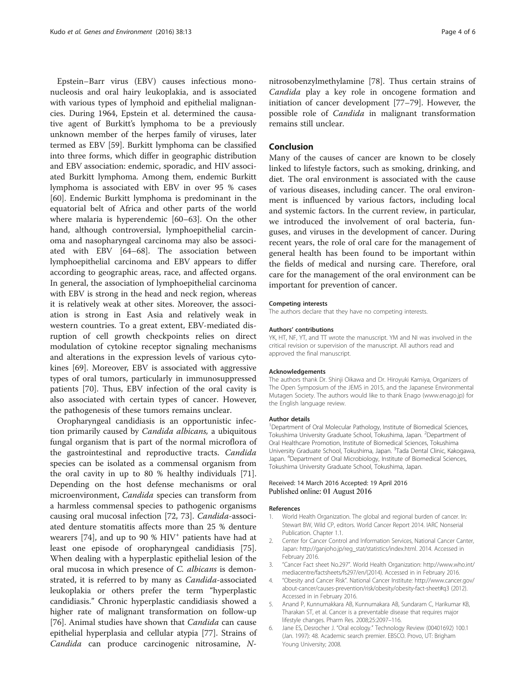<span id="page-3-0"></span>Epstein–Barr virus (EBV) causes infectious mononucleosis and oral hairy leukoplakia, and is associated with various types of lymphoid and epithelial malignancies. During 1964, Epstein et al. determined the causative agent of Burkitt's lymphoma to be a previously unknown member of the herpes family of viruses, later termed as EBV [[59](#page-4-0)]. Burkitt lymphoma can be classified into three forms, which differ in geographic distribution and EBV association: endemic, sporadic, and HIV associated Burkitt lymphoma. Among them, endemic Burkitt lymphoma is associated with EBV in over 95 % cases [[60\]](#page-5-0). Endemic Burkitt lymphoma is predominant in the equatorial belt of Africa and other parts of the world where malaria is hyperendemic [[60](#page-5-0)–[63](#page-5-0)]. On the other hand, although controversial, lymphoepithelial carcinoma and nasopharyngeal carcinoma may also be associated with EBV [\[64](#page-5-0)–[68\]](#page-5-0). The association between lymphoepithelial carcinoma and EBV appears to differ according to geographic areas, race, and affected organs. In general, the association of lymphoepithelial carcinoma with EBV is strong in the head and neck region, whereas it is relatively weak at other sites. Moreover, the association is strong in East Asia and relatively weak in western countries. To a great extent, EBV-mediated disruption of cell growth checkpoints relies on direct modulation of cytokine receptor signaling mechanisms and alterations in the expression levels of various cytokines [[69\]](#page-5-0). Moreover, EBV is associated with aggressive types of oral tumors, particularly in immunosuppressed patients [\[70](#page-5-0)]. Thus, EBV infection of the oral cavity is also associated with certain types of cancer. However, the pathogenesis of these tumors remains unclear.

Oropharyngeal candidiasis is an opportunistic infection primarily caused by Candida albicans, a ubiquitous fungal organism that is part of the normal microflora of the gastrointestinal and reproductive tracts. Candida species can be isolated as a commensal organism from the oral cavity in up to 80 % healthy individuals [\[71](#page-5-0)]. Depending on the host defense mechanisms or oral microenvironment, Candida species can transform from a harmless commensal species to pathogenic organisms causing oral mucosal infection [\[72](#page-5-0), [73\]](#page-5-0). Candida-associated denture stomatitis affects more than 25 % denture wearers  $[74]$  $[74]$  $[74]$ , and up to 90 %  $HIV<sup>+</sup>$  patients have had at least one episode of oropharyngeal candidiasis [\[75](#page-5-0)]. When dealing with a hyperplastic epithelial lesion of the oral mucosa in which presence of C. albicans is demonstrated, it is referred to by many as *Candida*-associated leukoplakia or others prefer the term "hyperplastic candidiasis." Chronic hyperplastic candidiasis showed a higher rate of malignant transformation on follow-up [[76\]](#page-5-0). Animal studies have shown that *Candida* can cause epithelial hyperplasia and cellular atypia [[77](#page-5-0)]. Strains of Candida can produce carcinogenic nitrosamine, N-

nitrosobenzylmethylamine [[78](#page-5-0)]. Thus certain strains of Candida play a key role in oncogene formation and initiation of cancer development [[77](#page-5-0)–[79](#page-5-0)]. However, the possible role of Candida in malignant transformation remains still unclear.

## Conclusion

Many of the causes of cancer are known to be closely linked to lifestyle factors, such as smoking, drinking, and diet. The oral environment is associated with the cause of various diseases, including cancer. The oral environment is influenced by various factors, including local and systemic factors. In the current review, in particular, we introduced the involvement of oral bacteria, funguses, and viruses in the development of cancer. During recent years, the role of oral care for the management of general health has been found to be important within the fields of medical and nursing care. Therefore, oral care for the management of the oral environment can be important for prevention of cancer.

#### Competing interests

The authors declare that they have no competing interests.

#### Authors' contributions

YK, HT, NF, YT, and TT wrote the manuscript. YM and NI was involved in the critical revision or supervision of the manuscript. All authors read and approved the final manuscript.

#### Acknowledgements

The authors thank Dr. Shinji Oikawa and Dr. Hiroyuki Kamiya, Organizers of The Open Symposium of the JEMS in 2015, and the Japanese Environmental Mutagen Society. The authors would like to thank Enago ([www.enago.jp\)](http://www.enago.jp/) for the English language review.

#### Author details

<sup>1</sup>Department of Oral Molecular Pathology, Institute of Biomedical Sciences, Tokushima University Graduate School, Tokushima, Japan. <sup>2</sup>Department of Oral Healthcare Promotion, Institute of Biomedical Sciences, Tokushima University Graduate School, Tokushima, Japan. <sup>3</sup>Tada Dental Clinic, Kakogawa, Japan. <sup>4</sup> Department of Oral Microbiology, Institute of Biomedical Sciences Tokushima University Graduate School, Tokushima, Japan.

### Received: 14 March 2016 Accepted: 19 April 2016 Published online: 01 August 2016

#### References

- 1. World Health Organization. The global and regional burden of cancer. In: Stewart BW, Wild CP, editors. World Cancer Report 2014. IARC Nonserial Publication. Chapter 1.1.
- 2. Center for Cancer Control and Information Services, National Cancer Canter, Japan: [http://ganjoho.jp/reg\\_stat/statistics/index.html.](http://ganjoho.jp/reg_stat/statistics/index.html) 2014. Accessed in February 2016.
- 3. "Cancer Fact sheet No.297". World Health Organization: [http://www.who.int/](http://www.who.int/mediacentre/factsheets/fs297/en/(2014) [mediacentre/factsheets/fs297/en/\(2014\)](http://www.who.int/mediacentre/factsheets/fs297/en/(2014). Accessed in in February 2016.
- 4. "Obesity and Cancer Risk". National Cancer Institute: [http://www.cancer.gov/](http://www.cancer.gov/about-cancer/causes-prevention/risk/obesity/obesity-fact-sheet#q3) [about-cancer/causes-prevention/risk/obesity/obesity-fact-sheet#q3](http://www.cancer.gov/about-cancer/causes-prevention/risk/obesity/obesity-fact-sheet#q3) (2012). Accessed in in February 2016.
- 5. Anand P, Kunnumakkara AB, Kunnumakara AB, Sundaram C, Harikumar KB, Tharakan ST, et al. Cancer is a preventable disease that requires major lifestyle changes. Pharm Res. 2008;25:2097–116.
- 6. Jane ES, Desrocher J. "Oral ecology." Technology Review (00401692) 100.1 (Jan. 1997): 48. Academic search premier. EBSCO. Provo, UT: Brigham Young University; 2008.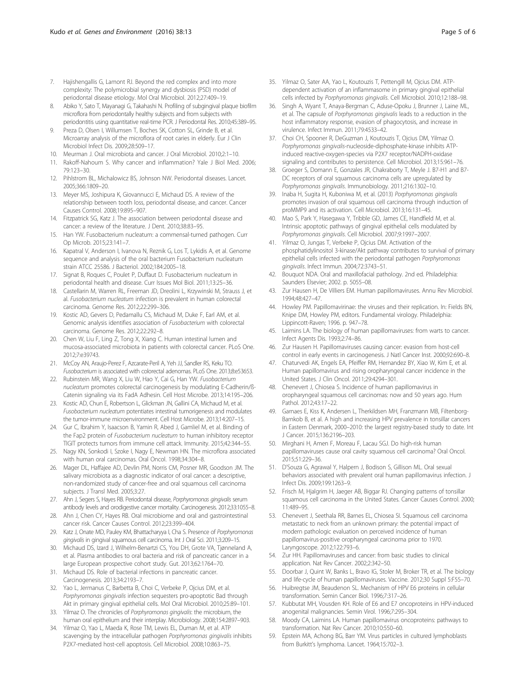- <span id="page-4-0"></span>7. Hajishengallis G, Lamont RJ. Beyond the red complex and into more complexity: The polymicrobial synergy and dysbiosis (PSD) model of periodontal disease etiology. Mol Oral Microbiol. 2012;27:409–19.
- Abiko Y, Sato T, Mayanagi G, Takahashi N. Profiling of subgingival plaque biofilm microflora from periodontally healthy subjects and from subjects with periodontitis using quantitative real-time PCR. J Periodontal Res. 2010;45:389–95.
- 9. Preza D, Olsen I, Willumsen T, Boches SK, Cotton SL, Grinde B, et al. Microarray analysis of the microflora of root caries in elderly. Eur J Clin Microbiol Infect Dis. 2009;28:509–17.
- 10. Meurman J. Oral microbiota and cancer. J Oral Microbiol. 2010;2:1–10.
- 11. Rakoff-Nahoum S. Why cancer and inflammation? Yale J Biol Med. 2006; 79:123–30.
- 12. Pihlstrom BL, Michalowicz BS, Johnson NW. Periodontal diseases. Lancet. 2005;366:1809–20.
- 13. Meyer MS, Joshipura K, Giovannucci E, Michaud DS. A review of the relationship between tooth loss, periodontal disease, and cancer. Cancer Causes Control. 2008;19:895–907.
- 14. Fitzpatrick SG, Katz J. The association between periodontal disease and cancer: a review of the literature. J Dent. 2010;38:83–95.
- 15. Han YW. Fusobacterium nucleatum: a commensal-turned pathogen. Curr Op Microb. 2015;23:141–7.
- 16. Kapatral V, Anderson I, Ivanova N, Reznik G, Los T, Lykidis A, et al. Genome sequence and analysis of the oral bacterium Fusobacterium nucleatum strain ATCC 25586. J Bacteriol. 2002;184:2005–18.
- 17. Signat B, Roques C, Poulet P, Duffaut D. Fusobacterium nucleatum in periodontal health and disease. Curr Issues Mol Biol. 2011;13:25–36.
- 18. Castellarin M, Warren RL, Freeman JD, Dreolini L, Krzywinski M, Strauss J, et al. Fusobacterium nucleatum infection is prevalent in human colorectal carcinoma. Genome Res. 2012;22:299–306.
- 19. Kostic AD, Gevers D, Pedamallu CS, Michaud M, Duke F, Earl AM, et al. Genomic analysis identifies association of Fusobacterium with colorectal carcinoma. Genome Res. 2012;22:292–8.
- 20. Chen W, Liu F, Ling Z, Tong X, Xiang C. Human intestinal lumen and mucosa-associated microbiota in patients with colorectal cancer. PLoS One. 2012;7:e39743.
- 21. McCoy AN, Araujo-Perez F, Azcarate-Peril A, Yeh JJ, Sandler RS, Keku TO. Fusobacterium is associated with colorectal adenomas. PLoS One. 2013;8:e53653.
- 22. Rubinstein MR, Wang X, Liu W, Hao Y, Cai G, Han YW. Fusobacterium nucleatum promotes colorectal carcinogenesis by modulating E-Cadherin/ß-Catenin signaling via its FadA Adhesin. Cell Host Microbe. 2013;14:195–206.
- 23. Kostic AD, Chun E, Robertson L, Glickman JN, Gallini CA, Michaud M, et al. Fusobacterium nucleatum potentiates intestinal tumorigenesis and modulates the tumor-immune microenvironment. Cell Host Microbe. 2013;14:207–15.
- 24. Gur C, Ibrahim Y, Isaacson B, Yamin R, Abed J, Gamliel M, et al. Binding of the Fap2 protein of Fusobacterium nucleatum to human inhibitory receptor TIGIT protects tumors from immune cell attack. Immunity. 2015;42:344–55.
- 25. Nagy KN, Sonkodi I, Szoke I, Nagy E, Newman HN. The microflora associated with human oral carcinomas. Oral Oncol. 1998;34:304–8.
- 26. Mager DL, Haffajee AD, Devlin PM, Norris CM, Posner MR, Goodson JM. The salivary microbiota as a diagnostic indicator of oral cancer: a descriptive, non-randomized study of cancer-free and oral squamous cell carcinoma subjects. J Transl Med. 2005;3:27.
- 27. Ahn J, Segers S, Hayes RB. Periodontal disease, Porphyromonas gingivalis serum antibody levels and orodigestive cancer mortality. Carcinogenesis. 2012;33:1055–8.
- 28. Ahn J, Chen CY, Hayes RB. Oral microbiome and oral and gastrointestinal cancer risk. Cancer Causes Control. 2012;23:399–404.
- 29. Katz J, Onate MD, Pauley KM, Bhattacharyya I, Cha S. Presence of Porphyromonas gingivalis in gingival squamous cell carcinoma. Int J Oral Sci. 2011;3:209–15.
- 30. Michaud DS, Izard J, Wilhelm-Benartzi CS, You DH, Grote VA, Tjønneland A, et al. Plasma antibodies to oral bacteria and risk of pancreatic cancer in a large European prospective cohort study. Gut. 2013;62:1764–70.
- 31. Michaud DS. Role of bacterial infections in pancreatic cancer. Carcinogenesis. 2013;34:2193–7.
- 32. Yao L, Jermanus C, Barbetta B, Choi C, Verbeke P, Ojcius DM, et al. Porphyromonas gingivalis infection sequesters pro-apoptotic Bad through Akt in primary gingival epithelial cells. Mol Oral Microbiol. 2010;25:89–101.
- 33. Yilmaz O. The chronicles of Porphyromonas gingivalis: the microbium, the human oral epithelium and their interplay. Microbiology. 2008;154:2897–903.
- 34. Yilmaz O, Yao L, Maeda K, Rose TM, Lewis EL, Duman M, et al. ATP scavenging by the intracellular pathogen Porphyromonas gingivalis inhibits P2X7-mediated host-cell apoptosis. Cell Microbiol. 2008;10:863–75.
- 35. Yilmaz O, Sater AA, Yao L, Koutouzis T, Pettengill M, Ojcius DM. ATPdependent activation of an inflammasome in primary gingival epithelial cells infected by Porphyromonas gingivalis. Cell Microbiol. 2010;12:188–98.
- 36. Singh A, Wyant T, Anaya-Bergman C, Aduse-Opoku J, Brunner J, Laine ML, et al. The capsule of Porphyromonas gingivalis leads to a reduction in the host inflammatory response, evasion of phagocytosis, and increase in virulence. Infect Immun. 2011;79:4533–42.
- 37. Choi CH, Spooner R, DeGuzman J, Koutouzis T, Ojcius DM, Yilmaz O. Porphyromonas gingivalis-nucleoside-diphosphate-kinase inhibits ATPinduced reactive-oxygen-species via P2X7 receptor/NADPH-oxidase signaling and contributes to persistence. Cell Microbiol. 2013;15:961–76.
- 38. Groeger S, Domann E, Gonzales JR, Chakraborty T, Meyle J. B7-H1 and B7- DC receptors of oral squamous carcinoma cells are upregulated by Porphyromonas gingivalis. Immunobiology. 2011;216:1302–10.
- 39. Inaba H, Sugita H, Kuboniwa M, et al. (2013) Porphyromonas gingivalis promotes invasion of oral squamous cell carcinoma through induction of proMMP9 and its activation. Cell Microbiol. 2013;16:131–45.
- 40. Mao S, Park Y, Hasegawa Y, Tribble GD, James CE, Handfield M, et al. Intrinsic apoptotic pathways of gingival epithelial cells modulated by Porphyromonas gingivalis. Cell Microbiol. 2007;9:1997–2007.
- 41. Yilmaz O, Jungas T, Verbeke P, Ojcius DM. Activation of the phosphatidylinositol 3-kinase/Akt pathway contributes to survival of primary epithelial cells infected with the periodontal pathogen Porphyromonas gingivalis. Infect Immun. 2004;72:3743–51.
- 42. Bouquot NDA. Oral and maxillofacial pathology. 2nd ed. Philadelphia: Saunders Elsevier; 2002. p. 5055–08.
- 43. Zur Hausen H, De Villiers EM. Human papillomaviruses. Annu Rev Microbiol. 1994;48:427–47.
- 44. Howley PM. Papillomavirinae: the viruses and their replication. In: Fields BN, Knipe DM, Howley PM, editors. Fundamental virology. Philadelphia: Lippincott-Raven; 1996. p. 947–78.
- 45. Laimins LA. The biology of human papillomaviruses: from warts to cancer. Infect Agents Dis. 1993;2:74–86.
- 46. Zur Hausen H. Papillomaviruses causing cancer: evasion from host-cell control in early events in carcinogenesis. J Natl Cancer Inst. 2000;92:690–8.
- 47. Chaturvedi AK, Engels EA, Pfeiffer RM, Hernandez BY, Xiao W, Kim E, et al. Human papillomavirus and rising oropharyngeal cancer incidence in the United States. J Clin Oncol. 2011;29:4294–301.
- 48. Chenevert J, Chiosea S. Incidence of human papillomavirus in oropharyngeal squamous cell carcinomas: now and 50 years ago. Hum Pathol. 2012;43:17–22.
- 49. Garnaes E, Kiss K, Andersen L, Therkildsen MH, Franzmann MB, Filtenborg-Barnkob B, et al. A high and increasing HPV prevalence in tonsillar cancers in Eastern Denmark, 2000–2010: the largest registry-based study to date. Int J Cancer. 2015;136:2196–203.
- 50. Mirghani H, Amen F, Moreau F, Lacau SGJ. Do high-risk human papillomaviruses cause oral cavity squamous cell carcinoma? Oral Oncol. 2015;51:229–36.
- 51. D'Souza G, Agrawal Y, Halpern J, Bodison S, Gillison ML. Oral sexual behaviors associated with prevalent oral human papillomavirus infection. J Infect Dis. 2009;199:1263–9.
- 52. Frisch M, Hjalgrim H, Jaeger AB, Biggar RJ. Changing patterns of tonsillar squamous cell carcinoma in the United States. Cancer Causes Control. 2000; 11:489–95.
- 53. Chenevert J, Seethala RR, Barnes EL, Chiosea SI. Squamous cell carcinoma metastatic to neck from an unknown primary: the potential impact of modern pathologic evaluation on perceived incidence of human papillomavirus-positive oropharyngeal carcinoma prior to 1970. Laryngoscope. 2012;122:793–6.
- 54. Zur HH. Papillomaviruses and cancer: from basic studies to clinical application. Nat Rev Cancer. 2002;2:342–50.
- 55. Doorbar J, Quint W, Banks L, Bravo IG, Stoler M, Broker TR, et al. The biology and life-cycle of human papillomaviruses. Vaccine. 2012;30 Suppl 5:F55–70.
- 56. Huibregtse JM, Beaudenon SL. Mechanism of HPV E6 proteins in cellular transformation. Semin Cancer Biol. 1996;7:317–26.
- 57. Kubbutat MH, Vousden KH. Role of E6 and E7 oncoproteins in HPV-induced anogenital malignancies. Semin Virol. 1996;7:295–304.
- 58. Moody CA, Laimins LA. Human papillomavirus oncoproteins: pathways to transformation. Nat Rev Cancer. 2010;10:550–60.
- 59. Epstein MA, Achong BG, Barr YM. Virus particles in cultured lymphoblasts from Burkitt's lymphoma. Lancet. 1964;15:702–3.